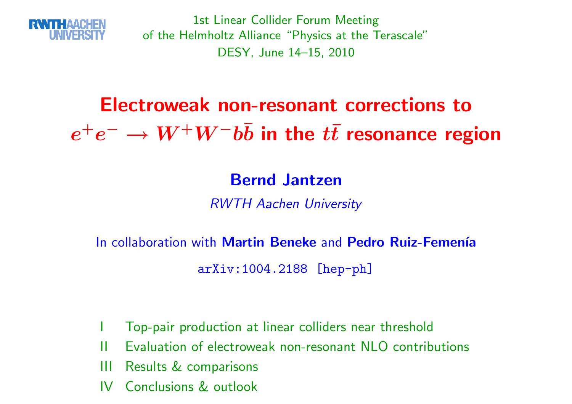

1st Linear Collider Forum Meeting of the Helmholtz Alliance "Physics at the Terascale"DESY, June 14–15, <sup>2010</sup>

#### Electroweak non-resonant corrections to $\boldsymbol{e}$  $\boldsymbol{+}$  $e^- \to W^+W^-b\bar{b}$  in the  $t\bar{t}$  resonance region

### Bernd Jantzen

RWTH Aachen University

In collaboration with <mark>Martin Beneke</mark> and <mark>Pedro Ruiz-Femenía</mark>

arXiv:1004.2188 [hep-ph]

- <sup>I</sup> Top-pair production at linear colliders near threshold
- II Evaluation of electroweak non-resonant NLO contributions
- III Results & comparisons
- IV Conclusions & outlook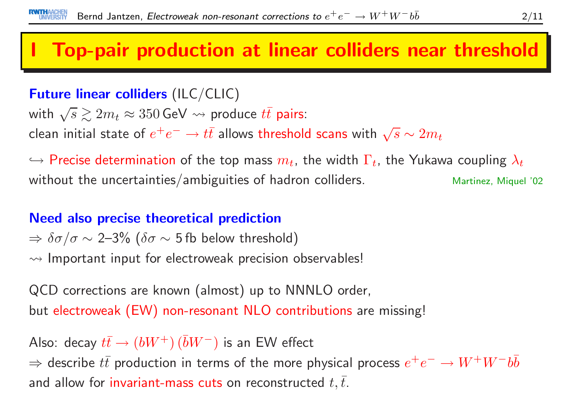## **Top-pair production at linear colliders near threshold**

### Future linear colliders (ILC/CLIC)

with  $\sqrt{s}\gtrsim 2m_t\approx 350\,\text{GeV}\leadsto \text{produce }t\bar{t}$  pairs:

clean initial state of  $e^+e^-\rightarrow t\bar t$  allows threshold scans with  $\sqrt s\sim 2m_t$ 

 $\hookrightarrow$  Precise determination of the top mass  $m_t$ , the width  $\Gamma_t$ , the Yukawa coupling  $\lambda_t$ without the uncertainties/ambiguities of hadron colliders.  $M$  Martinez, Miquel '02

#### Need also precise theoretical prediction

 $\Rightarrow$   $\delta\sigma/\sigma$   $\sim$  2–3% ( $\delta\sigma$   $\sim$  5 fb below threshold)  $\rightsquigarrow$  Important input for electroweak precision observables!

QCD corrections are known (almost) up to NNNLO order, but electroweak (EW) non-resonant NLO contributions are missing!

Also: decay  $t\bar{t}\to (bW^+)\,(\bar{b}W^-)$  is an EW effect

⇒ describe  $t\bar{t}$  production in terms of the more physical process  $e^+e^-\rightarrow W^+W^-b\bar{b}$ and allow for invariant-mass cuts on reconstructed  $t,\bar{t}.$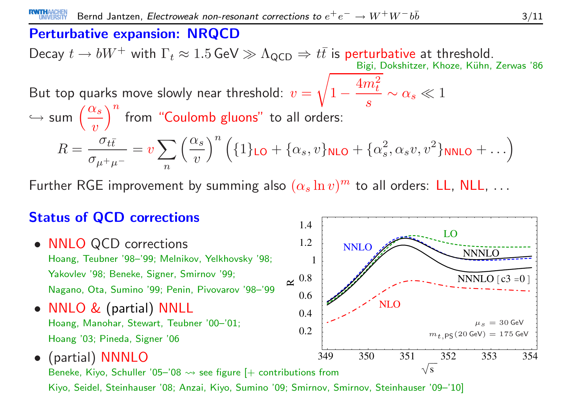#### Perturbative expansion: NRQCD

Decay  $t\to b W^+$  with  $\Gamma_t\approx 1.5\,{\rm GeV}\gg \Lambda_{\rm QCD} \Rightarrow t\bar t$  is perturbative at threshold.<br>Bigi, Dokshitzer, Khoze, Kühn, Bigi, Dokshitzer, Khoze, Kühn, Zerwas '86

But top quarks move slowly near threshold:  $v = \sqrt{1 - \frac{4m_t^2}{s}} \sim \alpha_s \ll 1$  $\hookrightarrow$  $s \mapsto \mathsf{sum}\, \left(\frac{\alpha_s}{v}\right)^n$  from "Coulomb gluons" to all orders:  $R = \frac{\sigma_{t\bar{t}}}{\sigma_{\mu^+\mu^-}} = v \sum_n \left(\frac{\alpha_s}{v}\right)^n \left( \{1\}_{\textsf{LO}} + \{\alpha_s, v\}_{\textsf{NLO}} + \{\alpha_s^2, \alpha_s v, v^2\}_{\textsf{NNLO}} + \ldots \right)$ 

Further RGE improvement by summing also  $(\alpha_s\ln v)^m$  to all orders: <code>LL, NLL</code>,  $\ldots$ 

#### Status of QCD corrections

- NNLO QCD corrections Hoang, Teubner '98–'99; Melnikov, Yelkhovsky '98; Yakovlev '98; Beneke, Signer, Smirnov '99; Nagano, Ota, Sumino '99; Penin, Pivovarov '98–'99
- $\bullet$ • NNLO & (partial) NNLL<br>Hoang Manobar Stowart Touba Hoang, Manohar, Stewart, Teubner '00–'01; Hoang '03; Pineda, Signer '06



0.2

0.4

0.6

0.8 $\approx$   $\sim$ 

1.2

1.4

1

LO

**NNNLO** 

 $m_{\bm{t}\, ,\mathsf{PS}}(20$  GeV)  $=175$  GeV

 $NNNLO$  [c3 =0 ]

 $\mu_s = 30$  GeV

NLO

NNLO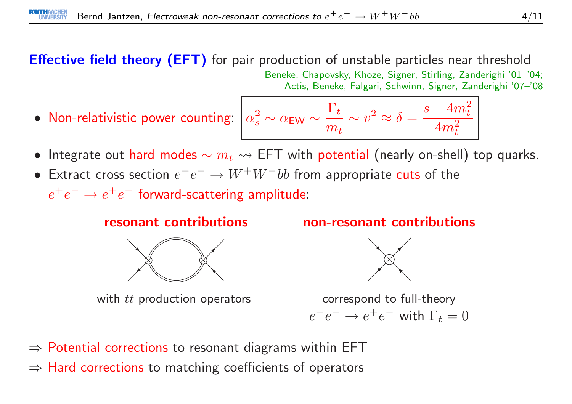Effective field theory (EFT) for pair production of unstable particles near threshold Beneke, Chapovsky, Khoze, Signer, Stirling, Zanderighi '01–'04; Actis, Beneke, Falgari, Schwinn, Signer, Zanderighi '07–'08

• $\bullet$  Non-relativistic power counting:  $\big| \, \alpha_s^2$ 

$$
\alpha_s^2 \sim \alpha_{\text{EW}} \sim \frac{\Gamma_t}{m_t} \sim v^2 \approx \delta = \frac{s - 4m_t^2}{4m_t^2}
$$

- Integrate out hard modes  $\sim m_t \leadsto \textsf{EFT}$  with potential (nearly on-shell) top quarks.
- Extract cross section  $e^+e^- \to W^+W^-b\bar{b}$  from appropriate cuts of the  $e^+e^-\rightarrow e^+e^-$  forward-scattering amplitude:

#### resonant contributions



with  $t\bar{t}$  production operators

non-resonant contributions



correspond to full-theory $e^+e^- \rightarrow e^+e^-$  with  $\Gamma_t = 0$ 

- ⇒ Potential corrections to resonant diagrams within EFT
- $\Rightarrow$   $\textsf{Hard}$  corrections to matching coefficients of operators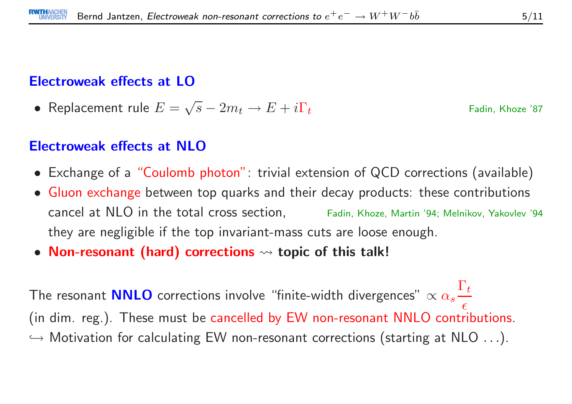#### Electroweak effects at LO

• Replacement rule  $E = \sqrt{s} - 2m_t \rightarrow E + i\Gamma_t$  Fadin, Khoze '87

#### Electroweak effects at NLO

- Exchange of <sup>a</sup> "Coulomb photon": trivial extension of QCD corrections (available)
- Gluon exchange between top quarks and their decay products: these contributions cancel at NLO in the total cross section, Fadin, Khoze, Martin '94; Melnikov, Yakovlev '94they are negligible if the top invariant-mass cuts are loose enough.
- Non-resonant (hard) corrections  $\rightsquigarrow$  topic of this talk!

The resonant **NNLO O** corrections involve "finite-width divergences"  $\propto \alpha_s \frac{\Gamma_t}{\epsilon}$  (in dim. reg.). These must be cancelled by EW non-resonant NNLO contributions.  $\hookrightarrow$  Motivation for calculating EW non-resonant corrections (starting at NLO  $\ldots$ ).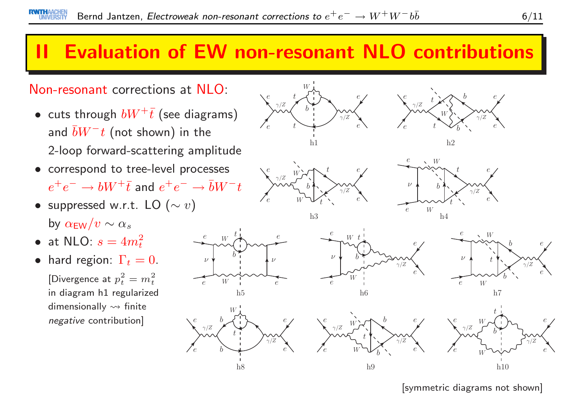## **Evaluation of EW non-resonant NLO contributions**

#### Non-resonant corrections at NLO:

- $\bullet\,$  cuts through  $bW^+\bar{t}$  (see diagrams) and  $\bar b W^-t$  (not shown) in the 2-loop forward-scattering amplitude
- correspond to tree-level processes  $e^+e^-\rightarrow bW^+\bar t$  and  $e^+e^-\rightarrow \bar bW^-t$

e

e

ν

e

e

- $\bullet$  suppressed w.r.t. LO  $(\sim v)$ by  $\alpha_{\rm EW}/v \sim \alpha_s$
- at NLO:  $s = 4m_t^2$
- hard region:  $\Gamma_t = 0$ . [Divergence at  $p_t^2 = m_t^2$ in diagram h1 regularizeddimensionally  $\rightsquigarrow$  finite negative contribution]



[symmetric diagrams not shown]

 $h9$  h10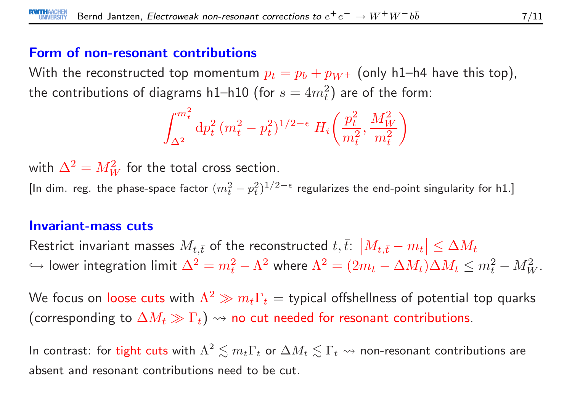#### Form of non-resonant contributions

With the reconstructed top momentum  $p_t = p_b + p_{W^+}$  (only h1–h4 have this top), the contributions of diagrams h1–h10 (for  $s=4m_t^2)$  are of the form:

$$
\int_{\Delta^2}^{m_t^2} \mathrm{d} p_t^2 \, (m_t^2 - p_t^2)^{1/2 - \epsilon} \, H_i\left(\frac{p_t^2}{m_t^2}, \frac{M_W^2}{m_t^2}\right)
$$

with  $\Delta^2=M_W^2$  for the total cross section.

[In dim. reg. the phase-space factor  $(m_t^2 - p_t^2)^{1/2 - \epsilon}$  regularizes the end-point singularity for h1.]

#### Invariant-mass cuts

Restrict invariant masses  $M_{t,\bar{t}}$  of the reconstructed  $t,\bar{t}$ :  $\left|M_{t,\bar{t}}-m_{t}\right|\leq\Delta M_{t}$  $\hookrightarrow$  lower integration limit  $\Delta^2 = m_t^2 - \Lambda^2$  where  $\Lambda^2 = (2m_t - \Delta M_t)\Delta M_t \leq m_t^2 - M_W^2$ .

We focus on loose cuts with  $\Lambda^2 \gg m_t \Gamma_t =$  typical offshellness of potential top quarks (corresponding to  $\Delta M_t\gg\Gamma_t)$   $\leadsto$  no cut needed for resonant contributions.

In contrast: for tight cuts with  $\Lambda^2\lesssim m_t\Gamma_t$  or  $\Delta M_t\lesssim \Gamma_t$   $\leadsto$  non-resonant contributions are absent and resonant contributions need to be cut.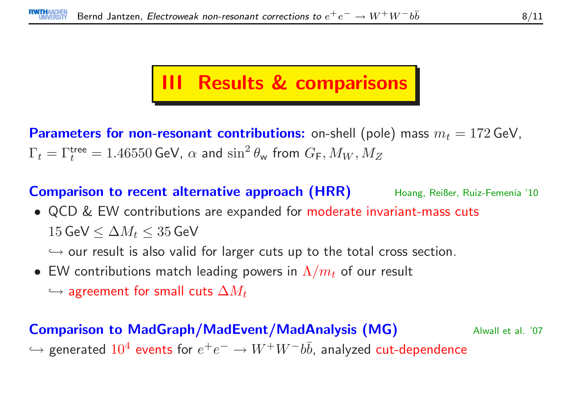## III Results & comparisons

 $\textbf{Parameters for non-resonant contributions:}$  on-shell (pole) mass  $m_t = 172\,\text{GeV},$  $\Gamma_t = \Gamma_t^{\sf tree} = 1.46550$  GeV,  $\alpha$  and  $\sin^2 \theta_{\sf w}$  from  $G_{\sf F}, M_W, M_Z$ 

Comparison to recent alternative approach (HRR)Hoang, Reißer, Ruiz-Femenía '10

• QCD & EW contributions are expanded for moderate invariant-mass cuts  $15\,\textsf{GeV} \le \Delta M_t \le 35\,\textsf{GeV}$ 

 $\hookrightarrow$  our result is also valid for larger cuts up to the total cross section.<br>EW contributions match loading novem in A (matchew moult

- $\bullet \,$  EW contributions match leading powers in  $\Lambda/m_t$  of our result
	- $\hookrightarrow$  agreement for small cuts  $\Delta M_t$

#### Comparison to MadGraph/MadEvent/MadAnalysis (MG) Alwall et al. '07  $\hookrightarrow$  $\hookrightarrow$  generated  $10^4$  events for  $e^+e^-\to W^+W^-b\bar b$ , analyzed  $\mathsf{cut}\text{-} \mathsf{dependent}$ ce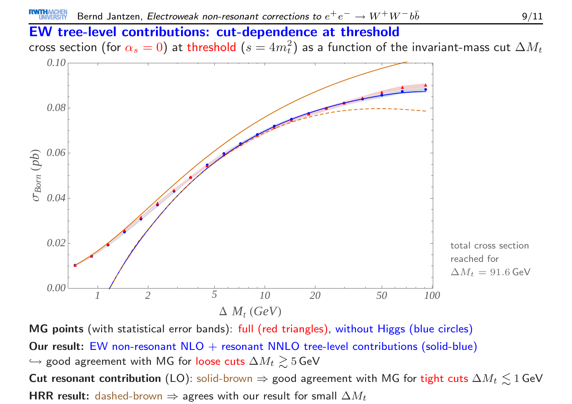#### EW tree-level contributions: cut-dependence at threshold

cross section (for  $\alpha_s=0$ ) at threshold  $(s=4m_t^2)$  as a function of the invariant-mass cut  $\Delta M_t$ 



MG points (with statistical error bands): full (red triangles), without Higgs (blue circles) Our result: EW non-resonant  $NLO$  + resonant  $NNLO$  tree-level contributions (solid-blue)  $\hookrightarrow$  good agreement with MG for loose cuts  $\Delta M_t \gtrsim 5\,\text{GeV}$  $\mathsf{Cut}$  resonant contribution (LO): solid-brown  $\Rightarrow$  good agreement with MG for tight cuts  $\Delta M_t \lesssim 1$  GeV<br>HPP <code>HRR</code> result: <code>dashed-brown</code>  $\Rightarrow$  agrees with our result for small  $\Delta M_t$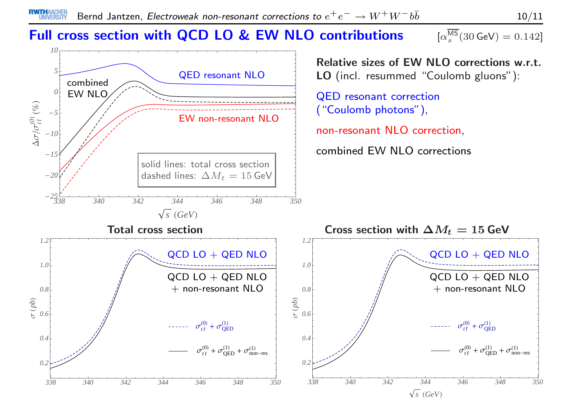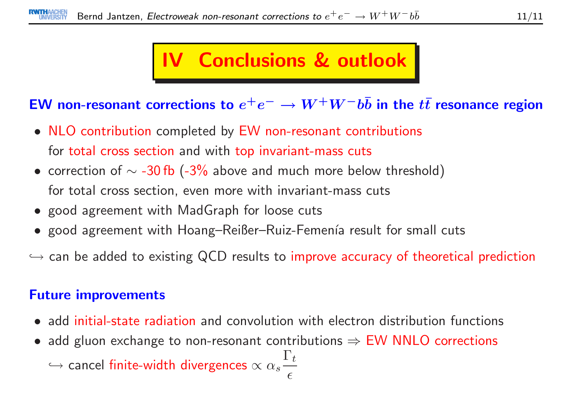## IV Conclusions & outlook

# EW non-resonant corrections to  $e^+e^-\rightarrow W^+W^-b\bar{b}$  in the  $t\bar{t}$  resonance region

- NLO contribution completed by EW non-resonant contributions for total cross section and with top invariant-mass cuts
- correction of  $\sim$  -30 fb (-3% above and much more below threshold) for total cross section, even more with invariant-mass cuts
- good agreement with MadGraph for loose cuts
- $\bullet\,$  good agreement with  $H$ oang– $R$ eißer– $R$ uiz- $F$ emenía result for small cuts

 $\hookrightarrow$  can be added to existing QCD results to improve accuracy of theoretical prediction

#### Future improvements

- add initial-state radiation and convolution with electron distribution functions
- add gluon exchange to non-resonant contributions  $\Rightarrow$  EW NNLO corrections<br>  $\hookrightarrow$  $\hookrightarrow$  cancel finite-width divergences  $\propto \alpha_s \displaystyle\frac{\Gamma_t}{\epsilon}$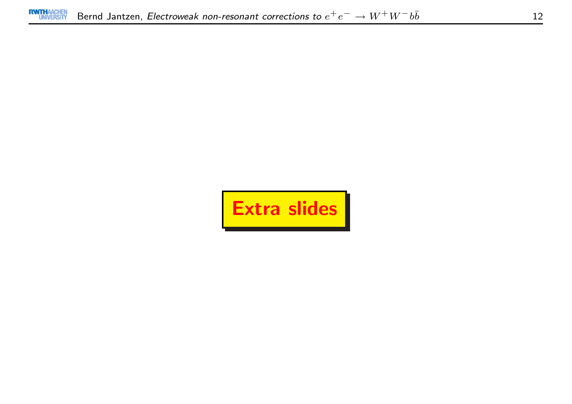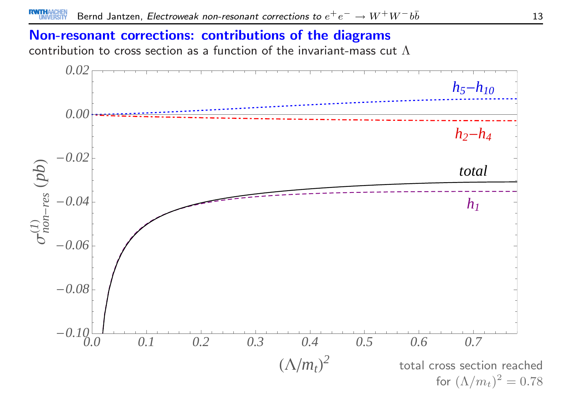#### Non-resonant corrections: contributions of the diagrams

contribution to cross section as a function of the invariant-mass cut  $\Lambda$